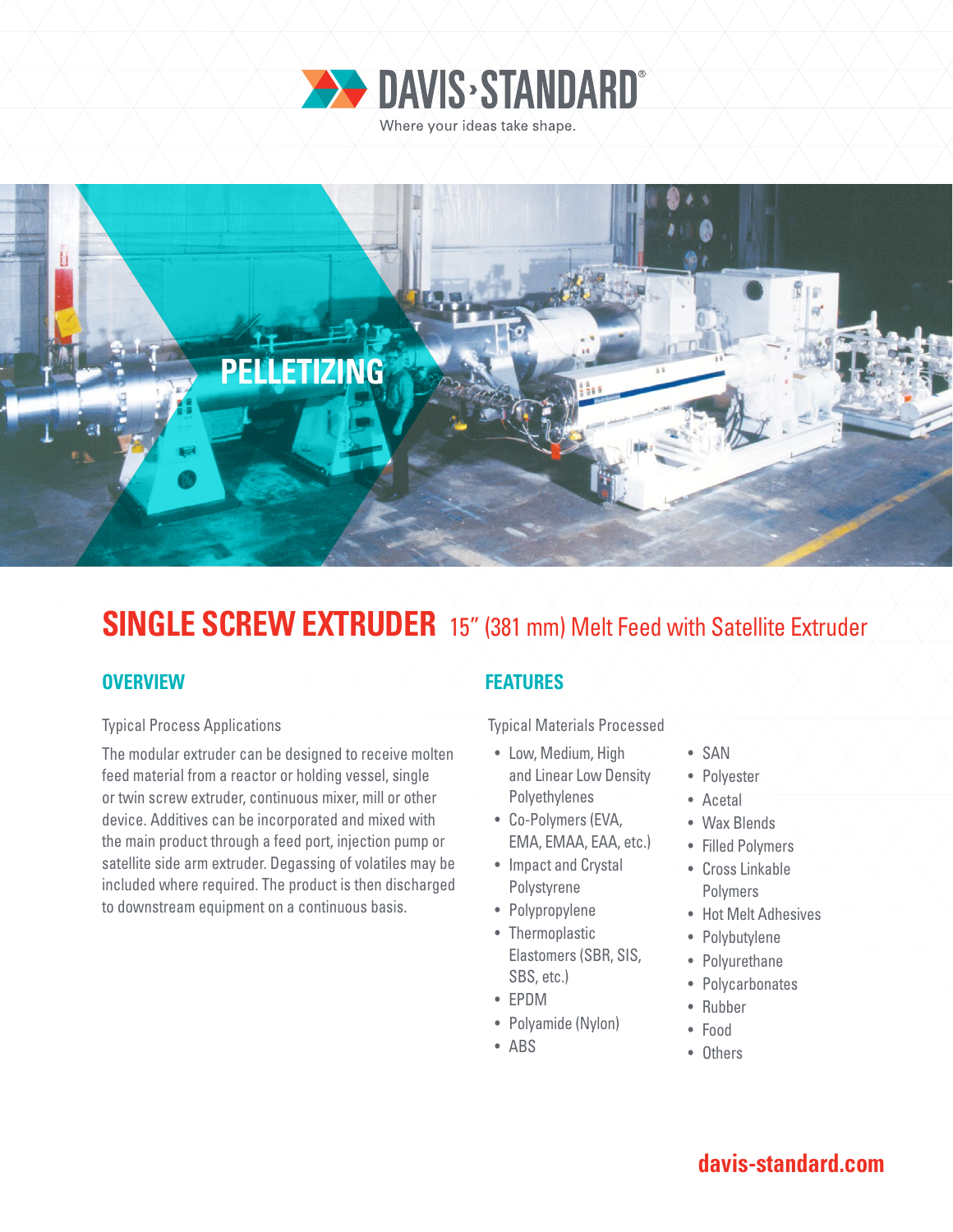



# **SINGLE SCREW EXTRUDER** 15" (381 mm) Melt Feed with Satellite Extruder

### **OVERVIEW**

#### Typical Process Applications

The modular extruder can be designed to receive molten feed material from a reactor or holding vessel, single or twin screw extruder, continuous mixer, mill or other device. Additives can be incorporated and mixed with the main product through a feed port, injection pump or satellite side arm extruder. Degassing of volatiles may be included where required. The product is then discharged to downstream equipment on a continuous basis.

### **FEATURES**

Typical Materials Processed

- Low, Medium, High and Linear Low Density Polyethylenes
- Co-Polymers (EVA, EMA, EMAA, EAA, etc.)
- Impact and Crystal Polystyrene
- Polypropylene
- Thermoplastic Elastomers (SBR, SIS, SBS, etc.)
- EPDM
- Polyamide (Nylon)
- ABS
- SAN
- Polyester
- Acetal
- Wax Blends
- Filled Polymers
- Cross Linkable Polymers
- Hot Melt Adhesives
- Polybutylene
- Polyurethane
- Polycarbonates
- Rubber
- Food
- Others

## **davis-standard.com**